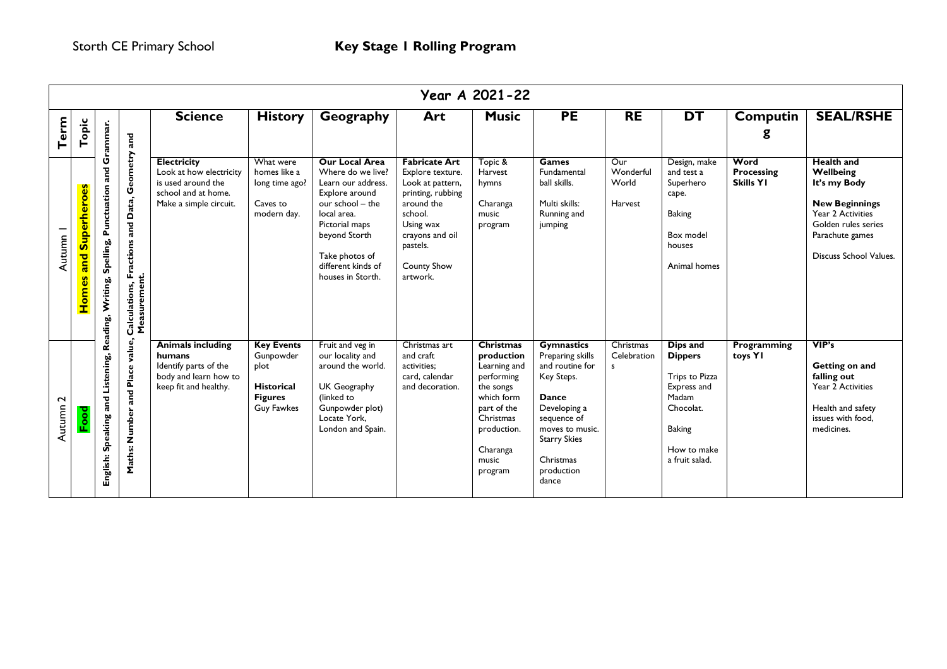|                  | Year A 2021-22           |                                                         |                                                                      |                                                                                                                      |                                                                                                    |                                                                                                                                                                                                                       |                                                                                                                                                                                          |                                                                                                                                                                    |                                                                                                                                                                                              |                                      |                                                                                                                                     |                                        |                                                                                                                                                                  |
|------------------|--------------------------|---------------------------------------------------------|----------------------------------------------------------------------|----------------------------------------------------------------------------------------------------------------------|----------------------------------------------------------------------------------------------------|-----------------------------------------------------------------------------------------------------------------------------------------------------------------------------------------------------------------------|------------------------------------------------------------------------------------------------------------------------------------------------------------------------------------------|--------------------------------------------------------------------------------------------------------------------------------------------------------------------|----------------------------------------------------------------------------------------------------------------------------------------------------------------------------------------------|--------------------------------------|-------------------------------------------------------------------------------------------------------------------------------------|----------------------------------------|------------------------------------------------------------------------------------------------------------------------------------------------------------------|
| Term             | Topic                    |                                                         | and                                                                  | <b>Science</b>                                                                                                       | <b>History</b>                                                                                     | Geography                                                                                                                                                                                                             | Art                                                                                                                                                                                      | <b>Music</b>                                                                                                                                                       | <b>PE</b>                                                                                                                                                                                    | <b>RE</b>                            | <b>DT</b>                                                                                                                           | Computin<br>g                          | <b>SEAL/RSHE</b>                                                                                                                                                 |
| Autumn           | and Superheroes<br>Homes | Spelling, Punctuation and Grammar.<br>Reading, Writing, | Geometry<br>Fractions and Data,<br>Calculations, Fr:<br>Measurement. | <b>Electricity</b><br>Look at how electricity<br>is used around the<br>school and at home.<br>Make a simple circuit. | What were<br>homes like a<br>long time ago?<br>Caves to<br>modern day.                             | <b>Our Local Area</b><br>Where do we live?<br>Learn our address.<br>Explore around<br>our school - the<br>local area.<br>Pictorial maps<br>beyond Storth<br>Take photos of<br>different kinds of<br>houses in Storth. | <b>Fabricate Art</b><br>Explore texture.<br>Look at pattern,<br>printing, rubbing<br>around the<br>school.<br>Using wax<br>crayons and oil<br>pastels.<br><b>County Show</b><br>artwork. | Topic &<br>Harvest<br>hymns<br>Charanga<br>music<br>program                                                                                                        | <b>Games</b><br>Fundamental<br>ball skills.<br>Multi skills:<br>Running and<br>jumping                                                                                                       | Our<br>Wonderful<br>World<br>Harvest | Design, make<br>and test a<br>Superhero<br>cape.<br><b>Baking</b><br>Box model<br>houses<br>Animal homes                            | Word<br>Processing<br><b>Skills YI</b> | <b>Health and</b><br>Wellbeing<br>It's my Body<br><b>New Beginnings</b><br>Year 2 Activities<br>Golden rules series<br>Parachute games<br>Discuss School Values. |
| $\sim$<br>Autumn | Food                     | Speaking and Listening,<br>English:                     | value,<br>Number and Place<br>Maths:                                 | <b>Animals including</b><br>humans<br>Identify parts of the<br>body and learn how to<br>keep fit and healthy.        | <b>Key Events</b><br>Gunpowder<br>plot<br><b>Historical</b><br><b>Figures</b><br><b>Guy Fawkes</b> | Fruit and veg in<br>our locality and<br>around the world.<br>UK Geography<br>(linked to<br>Gunpowder plot)<br>Locate York.<br>London and Spain.                                                                       | Christmas art<br>and craft<br>activities:<br>card, calendar<br>and decoration.                                                                                                           | <b>Christmas</b><br>production<br>Learning and<br>performing<br>the songs<br>which form<br>part of the<br>Christmas<br>production.<br>Charanga<br>music<br>program | <b>Gymnastics</b><br>Preparing skills<br>and routine for<br>Key Steps.<br>Dance<br>Developing a<br>sequence of<br>moves to music.<br><b>Starry Skies</b><br>Christmas<br>production<br>dance | Christmas<br>Celebration<br>s        | Dips and<br><b>Dippers</b><br>Trips to Pizza<br>Express and<br>Madam<br>Chocolat.<br><b>Baking</b><br>How to make<br>a fruit salad. | Programming<br>toys YI                 | VIP's<br>Getting on and<br>falling out<br>Year 2 Activities<br>Health and safety<br>issues with food,<br>medicines.                                              |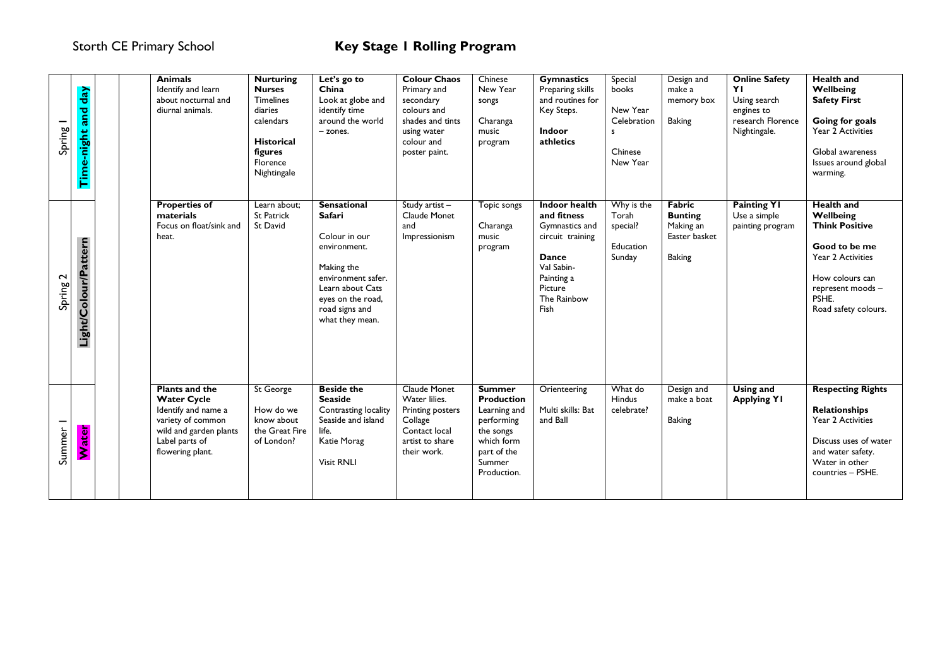| Spring 1 | day<br>and<br>Time-night |  | <b>Animals</b><br>Identify and learn<br>about nocturnal and<br>diurnal animals.                                                                         | <b>Nurturing</b><br><b>Nurses</b><br><b>Timelines</b><br>diaries<br>calendars<br><b>Historical</b><br>figures<br>Florence<br>Nightingale | Let's go to<br>China<br>Look at globe and<br>identify time<br>around the world<br>$-$ zones.                                                                                    | <b>Colour Chaos</b><br>Primary and<br>secondary<br>colours and<br>shades and tints<br>using water<br>colour and<br>poster paint. | Chinese<br>New Year<br>songs<br>Charanga<br>music<br>program                                                                        | <b>Gymnastics</b><br>Preparing skills<br>and routines for<br>Key Steps.<br>Indoor<br>athletics                                                          | Special<br>books<br>New Year<br>Celebration<br>s<br>Chinese<br>New Year | Design and<br>make a<br>memory box<br><b>Baking</b>                     | <b>Online Safety</b><br>YI<br>Using search<br>engines to<br>research Florence<br>Nightingale. | <b>Health and</b><br>Wellbeing<br><b>Safety First</b><br>Going for goals<br>Year 2 Activities<br>Global awareness<br>Issues around global<br>warming.                  |
|----------|--------------------------|--|---------------------------------------------------------------------------------------------------------------------------------------------------------|------------------------------------------------------------------------------------------------------------------------------------------|---------------------------------------------------------------------------------------------------------------------------------------------------------------------------------|----------------------------------------------------------------------------------------------------------------------------------|-------------------------------------------------------------------------------------------------------------------------------------|---------------------------------------------------------------------------------------------------------------------------------------------------------|-------------------------------------------------------------------------|-------------------------------------------------------------------------|-----------------------------------------------------------------------------------------------|------------------------------------------------------------------------------------------------------------------------------------------------------------------------|
| Spring 2 | our/Pattern<br>Light/Col |  | <b>Properties of</b><br>materials<br>Focus on float/sink and<br>heat.                                                                                   | Learn about;<br>St Patrick<br>St David                                                                                                   | <b>Sensational</b><br>Safari<br>Colour in our<br>environment.<br>Making the<br>environment safer.<br>Learn about Cats<br>eyes on the road,<br>road signs and<br>what they mean. | Study artist-<br>Claude Monet<br>and<br>Impressionism                                                                            | Topic songs<br>Charanga<br>music<br>program                                                                                         | <b>Indoor health</b><br>and fitness<br>Gymnastics and<br>circuit training<br><b>Dance</b><br>Val Sabin-<br>Painting a<br>Picture<br>The Rainbow<br>Fish | Why is the<br>Torah<br>special?<br>Education<br>Sunday                  | Fabric<br><b>Bunting</b><br>Making an<br>Easter basket<br><b>Baking</b> | <b>Painting YI</b><br>Use a simple<br>painting program                                        | <b>Health and</b><br>Wellbeing<br><b>Think Positive</b><br>Good to be me<br>Year 2 Activities<br>How colours can<br>represent moods -<br>PSHE.<br>Road safety colours. |
| Summer I | ter<br><b>id</b>         |  | <b>Plants and the</b><br><b>Water Cycle</b><br>Identify and name a<br>variety of common<br>wild and garden plants<br>Label parts of<br>flowering plant. | St George<br>How do we<br>know about<br>the Great Fire<br>of London?                                                                     | <b>Beside the</b><br><b>Seaside</b><br>Contrasting locality<br>Seaside and island<br>life.<br>Katie Morag<br><b>Visit RNLI</b>                                                  | <b>Claude Monet</b><br>Water lilies.<br>Printing posters<br>Collage<br>Contact local<br>artist to share<br>their work.           | <b>Summer</b><br><b>Production</b><br>Learning and<br>performing<br>the songs<br>which form<br>part of the<br>Summer<br>Production. | Orienteering<br>Multi skills: Bat<br>and Ball                                                                                                           | What do<br>Hindus<br>celebrate?                                         | Design and<br>make a boat<br><b>Baking</b>                              | <b>Using and</b><br><b>Applying YI</b>                                                        | <b>Respecting Rights</b><br><b>Relationships</b><br>Year 2 Activities<br>Discuss uses of water<br>and water safety.<br>Water in other<br>countries - PSHE.             |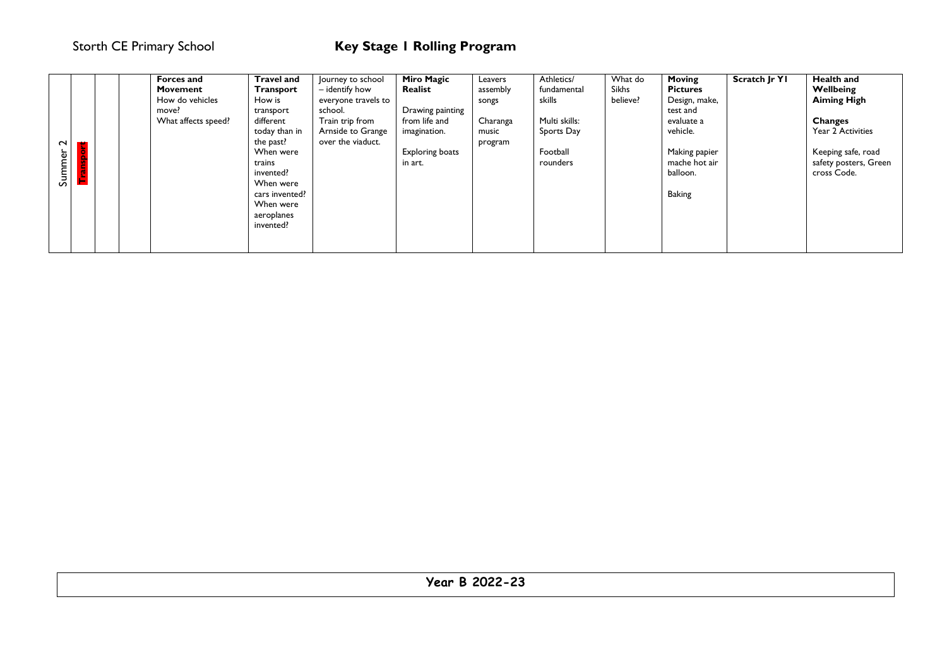|        |   |       | Forces and          | <b>Travel and</b> | Journey to school   | <b>Miro Magic</b>      | Leavers  | Athletics/    | What do  | <b>Moving</b>   | Scratch Jr Y1 | <b>Health and</b>     |
|--------|---|-------|---------------------|-------------------|---------------------|------------------------|----------|---------------|----------|-----------------|---------------|-----------------------|
|        |   |       | Movement            | <b>Transport</b>  | - identify how      | Realist                | assembly | fundamental   | Sikhs    | <b>Pictures</b> |               | Wellbeing             |
|        |   |       | How do vehicles     | How is            | everyone travels to |                        | songs    | skills        | believe? | Design, make,   |               | <b>Aiming High</b>    |
|        |   | move? |                     | transport         | school.             | Drawing painting       |          |               |          | test and        |               |                       |
|        |   |       | What affects speed? | different         | Train trip from     | from life and          | Charanga | Multi skills: |          | evaluate a      |               | <b>Changes</b>        |
|        |   |       |                     | today than in     | Arnside to Grange   | imagination.           | music    | Sports Day    |          | vehicle.        |               | Year 2 Activities     |
| $\sim$ | ÷ |       |                     | the past?         | over the viaduct.   |                        | program  |               |          |                 |               |                       |
|        |   |       |                     | When were         |                     | <b>Exploring boats</b> |          | Football      |          | Making papier   |               | Keeping safe, road    |
| Summer |   |       |                     | trains            |                     | in art.                |          | rounders      |          | mache hot air   |               | safety posters, Green |
|        |   |       |                     | invented?         |                     |                        |          |               |          | balloon.        |               | cross Code.           |
|        |   |       |                     | When were         |                     |                        |          |               |          |                 |               |                       |
|        |   |       |                     | cars invented?    |                     |                        |          |               |          | <b>Baking</b>   |               |                       |
|        |   |       |                     | When were         |                     |                        |          |               |          |                 |               |                       |
|        |   |       |                     | aeroplanes        |                     |                        |          |               |          |                 |               |                       |
|        |   |       |                     | invented?         |                     |                        |          |               |          |                 |               |                       |
|        |   |       |                     |                   |                     |                        |          |               |          |                 |               |                       |
|        |   |       |                     |                   |                     |                        |          |               |          |                 |               |                       |

| 0.2022.22<br><b>Year B 2022-23</b> |
|------------------------------------|
|                                    |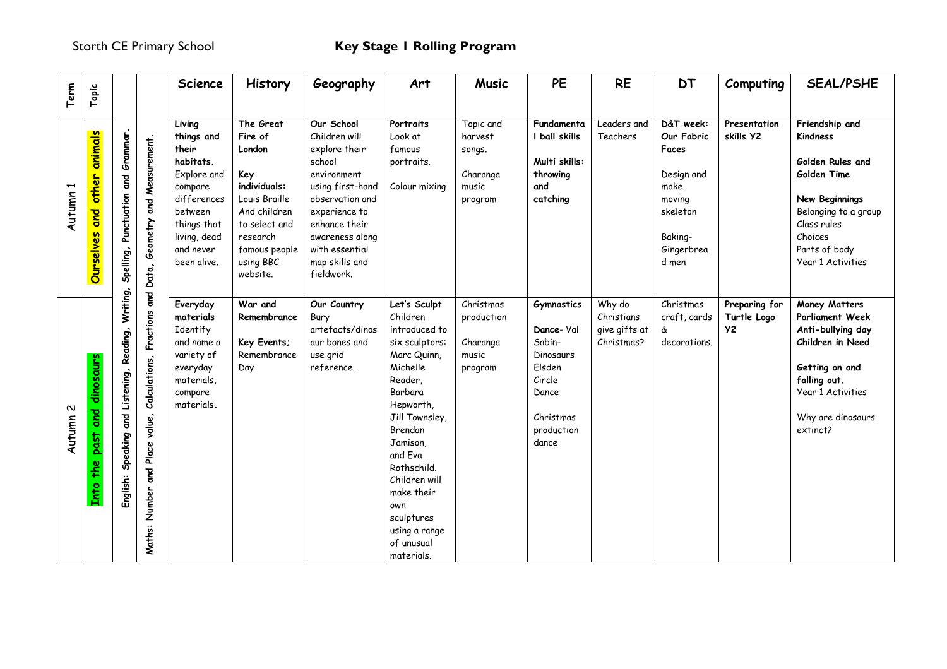| Term     | Topic                                       |                                                       |                                                                        | Science                                                                                                                                    | History                                                                                                                              | Geography                                                                                                                                                                           | Art                                                                                                                                                                                                                                                                                           | <b>Music</b>                                                   | PE                                                                                                                     | <b>RE</b>                                           | <b>DT</b>                                                                                             | Computing                                 | <b>SEAL/PSHE</b>                                                                                                                                                                              |
|----------|---------------------------------------------|-------------------------------------------------------|------------------------------------------------------------------------|--------------------------------------------------------------------------------------------------------------------------------------------|--------------------------------------------------------------------------------------------------------------------------------------|-------------------------------------------------------------------------------------------------------------------------------------------------------------------------------------|-----------------------------------------------------------------------------------------------------------------------------------------------------------------------------------------------------------------------------------------------------------------------------------------------|----------------------------------------------------------------|------------------------------------------------------------------------------------------------------------------------|-----------------------------------------------------|-------------------------------------------------------------------------------------------------------|-------------------------------------------|-----------------------------------------------------------------------------------------------------------------------------------------------------------------------------------------------|
| Autumn   | animals<br>other<br>and<br>Ourselves        | Spelling, Punctuation and Grammar.                    | Measurement.<br>Data, Geometry and                                     | Living<br>things and<br>their<br>habitats.<br>Explore and<br>compare<br>differences<br>between<br>things that<br>living, dead<br>and never | The Great<br>Fire of<br>London<br>Key<br>individuals:<br>Louis Braille<br>And children<br>to select and<br>research<br>famous people | Our School<br>Children will<br>explore their<br>school<br>environment<br>using first-hand<br>observation and<br>experience to<br>enhance their<br>awareness along<br>with essential | Portraits<br>Look at<br>famous<br>portraits.<br>Colour mixing                                                                                                                                                                                                                                 | Topic and<br>harvest<br>songs.<br>Charanga<br>music<br>program | Fundamenta<br>I ball skills<br>Multi skills:<br>throwing<br>and<br>catching                                            | Leaders and<br>Teachers                             | D&T week:<br>Our Fabric<br>Faces<br>Design and<br>make<br>moving<br>skeleton<br>Baking-<br>Gingerbrea | Presentation<br>skills Y2                 | Friendship and<br>Kindness<br>Golden Rules and<br>Golden Time<br>New Beginnings<br>Belonging to a group<br>Class rules<br>Choices<br>Parts of body                                            |
| Autumn 2 | dinosaurs<br>past and<br>the<br><b>Lnto</b> | Writing,<br>English: Speaking and Listening, Reading, | Fractions and<br>Calculations,<br>and Place value,<br>Number<br>Maths: | been alive.<br>Everyday<br>materials<br>Identify<br>and name a<br>variety of<br>everyday<br>materials,<br>compare<br>materials.            | using BBC<br>website.<br>War and<br>Remembrance<br>Key Events;<br>Remembrance<br>Day                                                 | map skills and<br>fieldwork.<br>Our Country<br>Bury<br>artefacts/dinos<br>aur bones and<br>use grid<br>reference.                                                                   | Let's Sculpt<br>Children<br>introduced to<br>six sculptors:<br>Marc Quinn,<br>Michelle<br>Reader,<br>Barbara<br>Hepworth,<br>Jill Townsley,<br>Brendan<br>Jamison,<br>and Eva<br>Rothschild.<br>Children will<br>make their<br>own<br>sculptures<br>using a range<br>of unusual<br>materials. | Christmas<br>production<br>Charanga<br>music<br>program        | <b>Gymnastics</b><br>Dance-Val<br>Sabin-<br>Dinosaurs<br>Elsden<br>Circle<br>Dance<br>Christmas<br>production<br>dance | Why do<br>Christians<br>give gifts at<br>Christmas? | d men<br>Christmas<br>craft, cards<br>å<br>decorations.                                               | Preparing for<br>Turtle Logo<br><b>Y2</b> | Year 1 Activities<br>Money Matters<br><b>Parliament Week</b><br>Anti-bullying day<br>Children in Need<br>Getting on and<br>falling out.<br>Year 1 Activities<br>Why are dinosaurs<br>extinct? |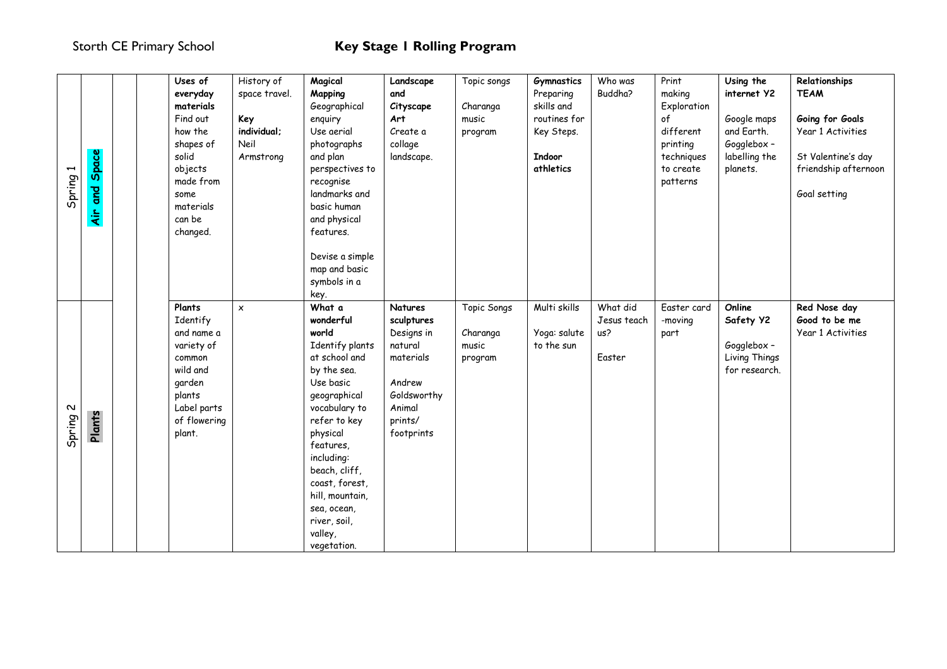| Spring 1                      | Space<br><b>Paro</b><br>$\dot{A}$ | Uses of<br>everyday<br>materials<br>Find out<br>how the<br>shapes of<br>solid<br>objects<br>made from<br>some<br>materials<br>can be<br>changed. | History of<br>space travel.<br>Key<br>individual;<br>Neil<br>Armstrong | Magical<br>Mapping<br>Geographical<br>enquiry<br>Use aerial<br>photographs<br>and plan<br>perspectives to<br>recognise<br>landmarks and<br>basic human<br>and physical<br>features.<br>Devise a simple<br>map and basic<br>symbols in a<br>key.                                                     | Landscape<br>and<br>Cityscape<br>Art<br>Create a<br>collage<br>landscape.                                               | Topic songs<br>Charanga<br>music<br>program | Gymnastics<br>Preparing<br>skills and<br>routines for<br>Key Steps.<br><b>Indoor</b><br>athletics | Who was<br>Buddha?                       | Print<br>making<br>Exploration<br>of<br>different<br>printing<br>techniques<br>to create<br>patterns | Using the<br>internet Y2<br>Google maps<br>and Earth.<br>Gogglebox -<br>labelling the<br>planets. | Relationships<br><b>TEAM</b><br>Going for Goals<br>Year 1 Activities<br>St Valentine's day<br>friendship afternoon<br>Goal setting |
|-------------------------------|-----------------------------------|--------------------------------------------------------------------------------------------------------------------------------------------------|------------------------------------------------------------------------|-----------------------------------------------------------------------------------------------------------------------------------------------------------------------------------------------------------------------------------------------------------------------------------------------------|-------------------------------------------------------------------------------------------------------------------------|---------------------------------------------|---------------------------------------------------------------------------------------------------|------------------------------------------|------------------------------------------------------------------------------------------------------|---------------------------------------------------------------------------------------------------|------------------------------------------------------------------------------------------------------------------------------------|
| $\boldsymbol{\sim}$<br>Spring | Plants                            | Plants<br>Identify<br>and name a<br>variety of<br>common<br>wild and<br>garden<br>plants<br>Label parts<br>of flowering<br>plant.                | $\pmb{\times}$                                                         | What a<br>wonderful<br>world<br>Identify plants<br>at school and<br>by the sea.<br>Use basic<br>geographical<br>vocabulary to<br>refer to key<br>physical<br>features,<br>including:<br>beach, cliff,<br>coast, forest,<br>hill, mountain,<br>sea, ocean,<br>river, soil,<br>valley,<br>vegetation. | Natures<br>sculptures<br>Designs in<br>natural<br>materials<br>Andrew<br>Goldsworthy<br>Animal<br>prints/<br>footprints | Topic Songs<br>Charanga<br>music<br>program | Multi skills<br>Yoga: salute<br>to the sun                                                        | What did<br>Jesus teach<br>us?<br>Easter | Easter card<br>-moving<br>part                                                                       | Online<br>Safety Y2<br>Gogglebox -<br>Living Things<br>for research.                              | Red Nose day<br>Good to be me<br>Year 1 Activities                                                                                 |